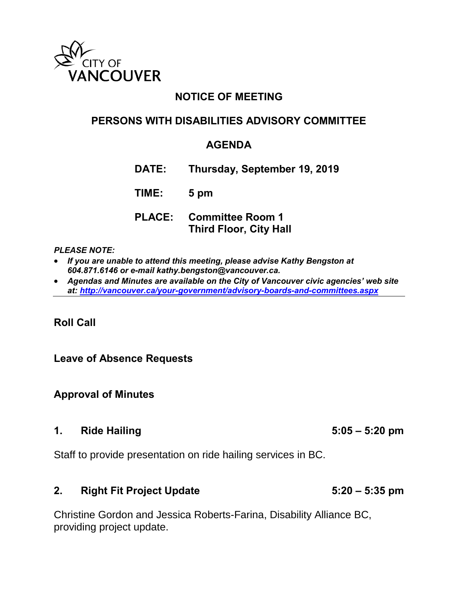

## **NOTICE OF MEETING**

## **PERSONS WITH DISABILITIES ADVISORY COMMITTEE**

## **AGENDA**

**DATE: Thursday, September 19, 2019**

**TIME: 5 pm**

### **PLACE: Committee Room 1 Third Floor, City Hall**

#### *PLEASE NOTE:*

- *If you are unable to attend this meeting, please advise Kathy Bengston at 604.871.6146 or e-mail kathy.bengston@vancouver.ca.*
- *Agendas and Minutes are available on the City of Vancouver civic agencies' web site at:<http://vancouver.ca/your-government/advisory-boards-and-committees.aspx>*

### **Roll Call**

**Leave of Absence Requests** 

**Approval of Minutes** 

#### **1. Ride Hailing 5:05 – 5:20 pm**

Staff to provide presentation on ride hailing services in BC.

#### **2. Right Fit Project Update 5:20 – 5:35 pm**

Christine Gordon and Jessica Roberts-Farina, Disability Alliance BC, providing project update.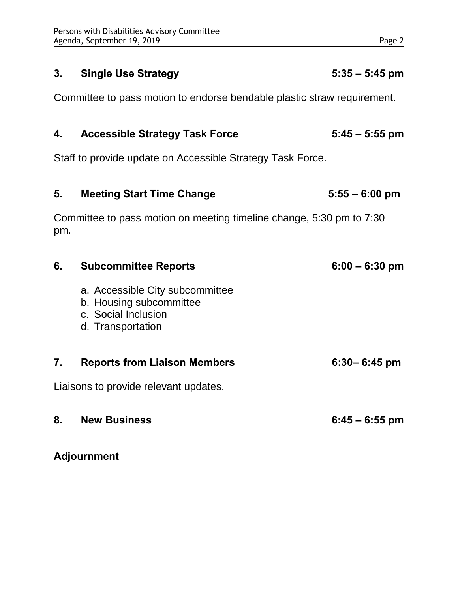## **3. Single Use Strategy 5:35 – 5:45 pm**

Committee to pass motion to endorse bendable plastic straw requirement.

## **4. Accessible Strategy Task Force 5:45 – 5:55 pm**

Staff to provide update on Accessible Strategy Task Force.

| 5.  | <b>Meeting Start Time Change</b>                                                                       | $5:55 - 6:00$ pm |
|-----|--------------------------------------------------------------------------------------------------------|------------------|
| pm. | Committee to pass motion on meeting timeline change, 5:30 pm to 7:30                                   |                  |
| 6.  | <b>Subcommittee Reports</b>                                                                            | $6:00 - 6:30$ pm |
|     | a. Accessible City subcommittee<br>b. Housing subcommittee<br>c. Social Inclusion<br>d. Transportation |                  |
| 7.  | <b>Reports from Liaison Members</b>                                                                    | $6:30 - 6:45$ pm |
|     | Liaisons to provide relevant updates.                                                                  |                  |
| 8.  | <b>New Business</b>                                                                                    | $6:45 - 6:55$ pm |

**Adjournment**